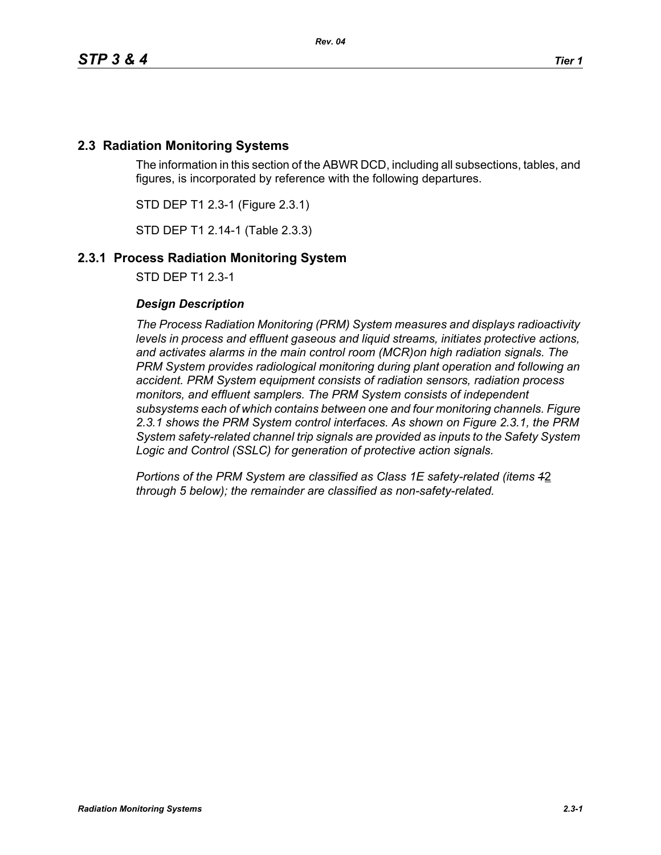# **2.3 Radiation Monitoring Systems**

The information in this section of the ABWR DCD, including all subsections, tables, and figures, is incorporated by reference with the following departures.

STD DEP T1 2.3-1 (Figure 2.3.1)

STD DEP T1 2.14-1 (Table 2.3.3)

## **2.3.1 Process Radiation Monitoring System**

STD DEP T1 2.3-1

### *Design Description*

*The Process Radiation Monitoring (PRM) System measures and displays radioactivity levels in process and effluent gaseous and liquid streams, initiates protective actions, and activates alarms in the main control room (MCR)on high radiation signals. The*  **PRM System provides radiological monitoring during plant operation and following an** *accident. PRM System equipment consists of radiation sensors, radiation process monitors, and effluent samplers. The PRM System consists of independent subsystems each of which contains between one and four monitoring channels. Figure 2.3.1 shows the PRM System control interfaces. As shown on Figure 2.3.1, the PRM System safety-related channel trip signals are provided as inputs to the Safety System Logic and Control (SSLC) for generation of protective action signals.*

*Portions of the PRM System are classified as Class 1E safety-related (items 1*2 *through 5 below); the remainder are classified as non-safety-related.*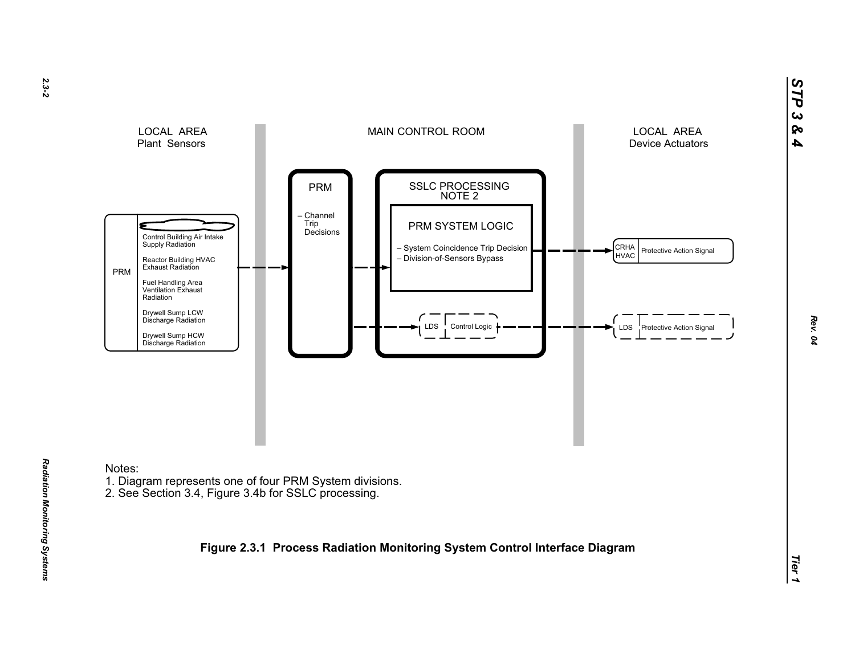

Notes:

*Radiation Monitoring Systems* 

Radiation Monitoring Systems

- 1. Diagram represents one of four PRM System divisions.
- 2. See Section 3.4, Figure 3.4b for SSLC processing.

**Figure 2.3.1 Process Radiation Monitoring System Control Interface Diagram**

*STP 3 & 4*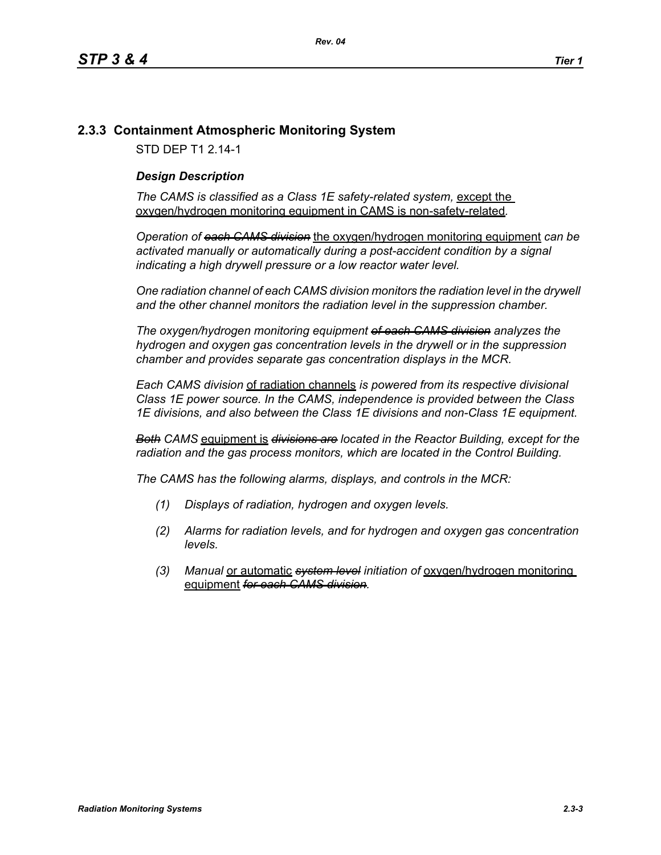# **2.3.3 Containment Atmospheric Monitoring System**

STD DEP T1 2.14-1

# *Design Description*

The CAMS is classified as a Class 1E safety-related system, except the oxygen/hydrogen monitoring equipment in CAMS is non-safety-related*.*

*Operation of each CAMS division* the oxygen/hydrogen monitoring equipment *can be*  activated manually or automatically during a post-accident condition by a signal *indicating a high drywell pressure or a low reactor water level.* 

*One radiation channel of each CAMS division monitors the radiation level in the drywell and the other channel monitors the radiation level in the suppression chamber.*

*The oxygen/hydrogen monitoring equipment of each CAMS division analyzes the hydrogen and oxygen gas concentration levels in the drywell or in the suppression chamber and provides separate gas concentration displays in the MCR.*

*Each CAMS division* of radiation channels *is powered from its respective divisional Class 1E power source. In the CAMS, independence is provided between the Class 1E divisions, and also between the Class 1E divisions and non-Class 1E equipment.*

*Both CAMS* equipment is *divisions are located in the Reactor Building, except for the radiation and the gas process monitors, which are located in the Control Building.*

*The CAMS has the following alarms, displays, and controls in the MCR:*

- *(1) Displays of radiation, hydrogen and oxygen levels.*
- *(2) Alarms for radiation levels, and for hydrogen and oxygen gas concentration levels.*
- *(3) Manual* or automatic *system level initiation of* oxygen/hydrogen monitoring equipment *for each CAMS division.*